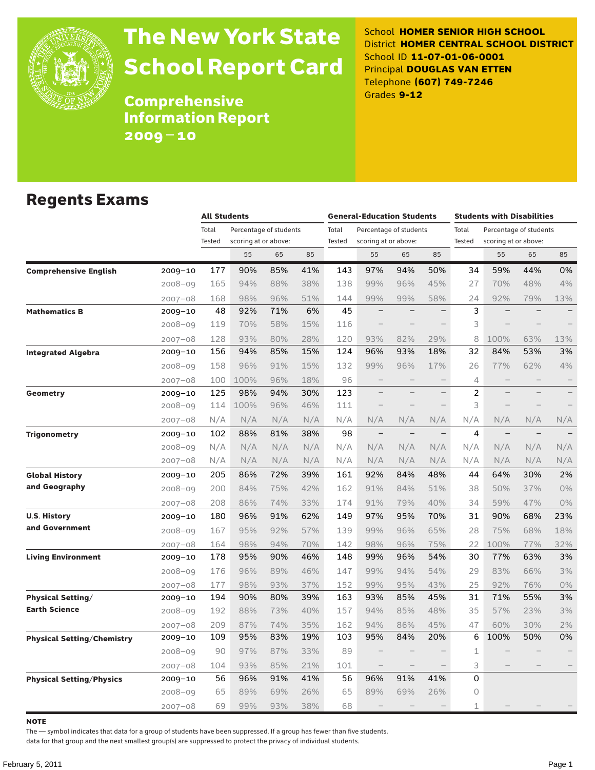

# The New York State School Report Card

School **HOMER SENIOR HIGH SCHOOL** District **HOMER CENTRAL SCHOOL DISTRICT** School ID **11-07-01-06-0001** Principal **DOUGLAS VAN ETTEN** Telephone **(607) 749-7246** Grades **9-12**

**Comprehensive** Information Report 2009–10

#### Regents Exams

|                                   |             |                 | <b>All Students</b>                            |     |     |                 | <b>General-Education Students</b> |                          |                          |                 | <b>Students with Disabilities</b>              |     |                          |  |
|-----------------------------------|-------------|-----------------|------------------------------------------------|-----|-----|-----------------|-----------------------------------|--------------------------|--------------------------|-----------------|------------------------------------------------|-----|--------------------------|--|
|                                   |             | Total<br>Tested | Percentage of students<br>scoring at or above: |     |     | Total<br>Tested | scoring at or above:              | Percentage of students   |                          | Total<br>Tested | Percentage of students<br>scoring at or above: |     |                          |  |
|                                   |             |                 | 55                                             | 65  | 85  |                 | 55                                | 65                       | 85                       |                 | 55                                             | 65  | 85                       |  |
| <b>Comprehensive English</b>      | 2009-10     | 177             | 90%                                            | 85% | 41% | 143             | 97%                               | 94%                      | 50%                      | 34              | 59%                                            | 44% | 0%                       |  |
|                                   | $2008 - 09$ | 165             | 94%                                            | 88% | 38% | 138             | 99%                               | 96%                      | 45%                      | 27              | 70%                                            | 48% | 4%                       |  |
|                                   | $2007 - 08$ | 168             | 98%                                            | 96% | 51% | 144             | 99%                               | 99%                      | 58%                      | 24              | 92%                                            | 79% | 13%                      |  |
| <b>Mathematics B</b>              | 2009-10     | 48              | 92%                                            | 71% | 6%  | 45              |                                   |                          | $\overline{\phantom{0}}$ | 3               |                                                |     |                          |  |
|                                   | $2008 - 09$ | 119             | 70%                                            | 58% | 15% | 116             |                                   |                          |                          | 3               |                                                |     |                          |  |
|                                   | $2007 - 08$ | 128             | 93%                                            | 80% | 28% | 120             | 93%                               | 82%                      | 29%                      | 8               | 100%                                           | 63% | 13%                      |  |
| <b>Integrated Algebra</b>         | 2009-10     | 156             | 94%                                            | 85% | 15% | 124             | 96%                               | 93%                      | 18%                      | 32              | 84%                                            | 53% | 3%                       |  |
|                                   | $2008 - 09$ | 158             | 96%                                            | 91% | 15% | 132             | 99%                               | 96%                      | 17%                      | 26              | 77%                                            | 62% | 4%                       |  |
|                                   | $2007 - 08$ | 100             | 100%                                           | 96% | 18% | 96              | $\overline{\phantom{0}}$          |                          |                          | 4               |                                                |     | $\overline{\phantom{0}}$ |  |
| Geometry                          | $2009 - 10$ | 125             | 98%                                            | 94% | 30% | 123             | -                                 | $\overline{\phantom{0}}$ | $\qquad \qquad -$        | $\overline{c}$  |                                                |     | $\qquad \qquad -$        |  |
|                                   | $2008 - 09$ | 114             | 100%                                           | 96% | 46% | 111             |                                   |                          |                          | 3               |                                                |     |                          |  |
|                                   | $2007 - 08$ | N/A             | N/A                                            | N/A | N/A | N/A             | N/A                               | N/A                      | N/A                      | N/A             | N/A                                            | N/A | N/A                      |  |
| <b>Trigonometry</b>               | $2009 - 10$ | 102             | 88%                                            | 81% | 38% | 98              | $\qquad \qquad -$                 | $\overline{\phantom{0}}$ | $\qquad \qquad -$        | 4               |                                                |     |                          |  |
|                                   | $2008 - 09$ | N/A             | N/A                                            | N/A | N/A | N/A             | N/A                               | N/A                      | N/A                      | N/A             | N/A                                            | N/A | N/A                      |  |
|                                   | $2007 - 08$ | N/A             | N/A                                            | N/A | N/A | N/A             | N/A                               | N/A                      | N/A                      | N/A             | N/A                                            | N/A | N/A                      |  |
| <b>Global History</b>             | 2009-10     | 205             | 86%                                            | 72% | 39% | 161             | 92%                               | 84%                      | 48%                      | 44              | 64%                                            | 30% | 2%                       |  |
| and Geography                     | $2008 - 09$ | 200             | 84%                                            | 75% | 42% | 162             | 91%                               | 84%                      | 51%                      | 38              | 50%                                            | 37% | 0%                       |  |
|                                   | $2007 - 08$ | 208             | 86%                                            | 74% | 33% | 174             | 91%                               | 79%                      | 40%                      | 34              | 59%                                            | 47% | 0%                       |  |
| <b>U.S. History</b>               | 2009-10     | 180             | 96%                                            | 91% | 62% | 149             | 97%                               | 95%                      | 70%                      | 31              | 90%                                            | 68% | 23%                      |  |
| and Government                    | $2008 - 09$ | 167             | 95%                                            | 92% | 57% | 139             | 99%                               | 96%                      | 65%                      | 28              | 75%                                            | 68% | 18%                      |  |
|                                   | $2007 - 08$ | 164             | 98%                                            | 94% | 70% | 142             | 98%                               | 96%                      | 75%                      | 22              | 100%                                           | 77% | 32%                      |  |
| <b>Living Environment</b>         | 2009-10     | 178             | 95%                                            | 90% | 46% | 148             | 99%                               | 96%                      | 54%                      | 30              | 77%                                            | 63% | 3%                       |  |
|                                   | $2008 - 09$ | 176             | 96%                                            | 89% | 46% | 147             | 99%                               | 94%                      | 54%                      | 29              | 83%                                            | 66% | 3%                       |  |
|                                   | $2007 - 08$ | 177             | 98%                                            | 93% | 37% | 152             | 99%                               | 95%                      | 43%                      | 25              | 92%                                            | 76% | $0\%$                    |  |
| <b>Physical Setting/</b>          | 2009-10     | 194             | 90%                                            | 80% | 39% | 163             | 93%                               | 85%                      | 45%                      | 31              | 71%                                            | 55% | 3%                       |  |
| <b>Earth Science</b>              | $2008 - 09$ | 192             | 88%                                            | 73% | 40% | 157             | 94%                               | 85%                      | 48%                      | 35              | 57%                                            | 23% | 3%                       |  |
|                                   | $2007 - 08$ | 209             | 87%                                            | 74% | 35% | 162             | 94%                               | 86%                      | 45%                      | 47              | 60%                                            | 30% | 2%                       |  |
| <b>Physical Setting/Chemistry</b> | 2009-10     | 109             | 95%                                            | 83% | 19% | 103             | 95%                               | 84%                      | 20%                      | 6               | 100%                                           | 50% | 0%                       |  |
|                                   | $2008 - 09$ | 90              | 97%                                            | 87% | 33% | 89              |                                   |                          |                          | $\mathbf{1}$    |                                                |     |                          |  |
|                                   | $2007 - 08$ | 104             | 93%                                            | 85% | 21% | 101             | $\overline{\phantom{0}}$          |                          |                          | 3               |                                                |     |                          |  |
| <b>Physical Setting/Physics</b>   | 2009-10     | 56              | 96%                                            | 91% | 41% | 56              | 96%                               | 91%                      | 41%                      | 0               |                                                |     |                          |  |
|                                   | $2008 - 09$ | 65              | 89%                                            | 69% | 26% | 65              | 89%                               | 69%                      | 26%                      | 0               |                                                |     |                          |  |
|                                   | $2007 - 08$ | 69              | 99%                                            | 93% | 38% | 68              |                                   |                          |                          | 1               |                                                |     |                          |  |

note

The — symbol indicates that data for a group of students have been suppressed. If a group has fewer than five students,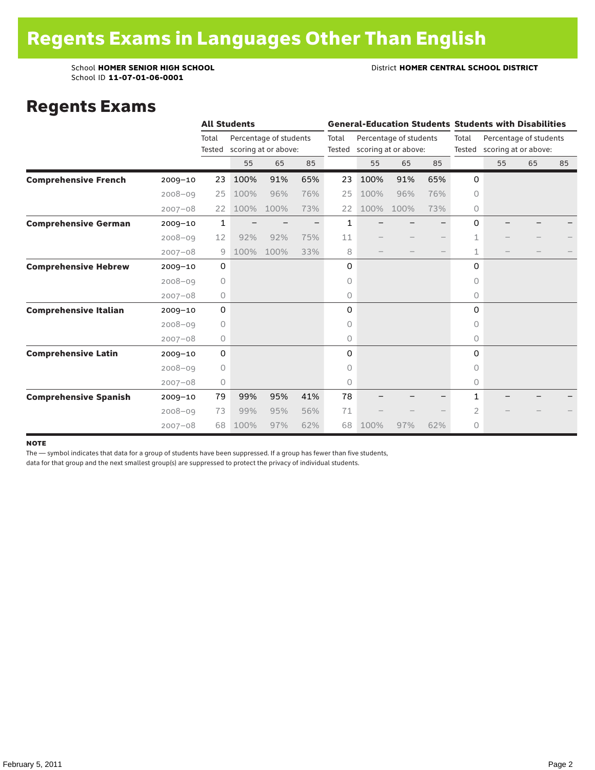School ID **11-07-01-06-0001**

School **HOMER SENIOR HIGH SCHOOL** District **HOMER CENTRAL SCHOOL DISTRICT**

#### Regents Exams

|                              |             |                 | <b>All Students</b> |                                                |     |       | <b>General-Education Students Students with Disabilities</b> |                                                       |     |              |                                                       |    |    |
|------------------------------|-------------|-----------------|---------------------|------------------------------------------------|-----|-------|--------------------------------------------------------------|-------------------------------------------------------|-----|--------------|-------------------------------------------------------|----|----|
|                              |             | Total<br>Tested |                     | Percentage of students<br>scoring at or above: |     | Total |                                                              | Percentage of students<br>Tested scoring at or above: |     | Total        | Percentage of students<br>Tested scoring at or above: |    |    |
|                              |             |                 | 55                  | 65                                             | 85  |       | 55                                                           | 65                                                    | 85  |              | 55                                                    | 65 | 85 |
| <b>Comprehensive French</b>  | $2009 - 10$ | 23              | 100%                | 91%                                            | 65% | 23    | 100%                                                         | 91%                                                   | 65% | 0            |                                                       |    |    |
|                              | $2008 - 09$ | 25              | 100%                | 96%                                            | 76% | 25    | 100%                                                         | 96%                                                   | 76% | $\circ$      |                                                       |    |    |
|                              | $2007 - 08$ | 22              | 100%                | 100%                                           | 73% | 22    | 100%                                                         | 100%                                                  | 73% | 0            |                                                       |    |    |
| <b>Comprehensive German</b>  | $2009 - 10$ | $\mathbf{1}$    |                     |                                                |     | 1     |                                                              |                                                       |     | 0            |                                                       |    |    |
|                              | $2008 - 09$ | 12              | 92%                 | 92%                                            | 75% | 11    |                                                              |                                                       |     | 1            |                                                       |    |    |
|                              | $2007 - 08$ | 9               | 100%                | 100%                                           | 33% | 8     |                                                              |                                                       |     | 1            |                                                       |    |    |
| <b>Comprehensive Hebrew</b>  | $2009 - 10$ | 0               |                     |                                                |     | 0     |                                                              |                                                       |     | 0            |                                                       |    |    |
|                              | $2008 - 09$ | 0               |                     |                                                |     | 0     |                                                              |                                                       |     | 0            |                                                       |    |    |
|                              | $2007 - 08$ | 0               |                     |                                                |     | 0     |                                                              |                                                       |     | 0            |                                                       |    |    |
| <b>Comprehensive Italian</b> | $2009 - 10$ | 0               |                     |                                                |     | 0     |                                                              |                                                       |     | 0            |                                                       |    |    |
|                              | $2008 - 09$ | $\circ$         |                     |                                                |     | 0     |                                                              |                                                       |     | 0            |                                                       |    |    |
|                              | $2007 - 08$ | 0               |                     |                                                |     | 0     |                                                              |                                                       |     | 0            |                                                       |    |    |
| <b>Comprehensive Latin</b>   | $2009 - 10$ | 0               |                     |                                                |     | 0     |                                                              |                                                       |     | 0            |                                                       |    |    |
|                              | $2008 - 09$ | 0               |                     |                                                |     | 0     |                                                              |                                                       |     | 0            |                                                       |    |    |
|                              | $2007 - 08$ | $\circ$         |                     |                                                |     | 0     |                                                              |                                                       |     | 0            |                                                       |    |    |
| <b>Comprehensive Spanish</b> | $2009 - 10$ | 79              | 99%                 | 95%                                            | 41% | 78    |                                                              |                                                       |     | $\mathbf{1}$ |                                                       |    |    |
|                              | $2008 - 09$ | 73              | 99%                 | 95%                                            | 56% | 71    |                                                              |                                                       |     | 2            |                                                       |    |    |
|                              | $2007 - 08$ | 68              | 100%                | 97%                                            | 62% | 68    | 100%                                                         | 97%                                                   | 62% | 0            |                                                       |    |    |

#### note

The — symbol indicates that data for a group of students have been suppressed. If a group has fewer than five students,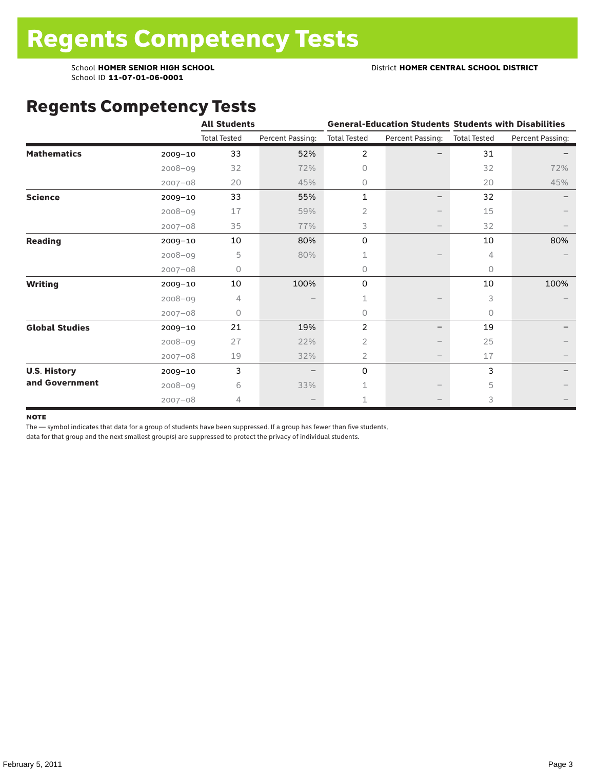School ID **11-07-01-06-0001**

#### Regents Competency Tests

|                       |             | <b>All Students</b> |                  |                     |                                 | <b>General-Education Students Students with Disabilities</b> |                  |  |
|-----------------------|-------------|---------------------|------------------|---------------------|---------------------------------|--------------------------------------------------------------|------------------|--|
|                       |             | <b>Total Tested</b> | Percent Passing: | <b>Total Tested</b> | Percent Passing:                | <b>Total Tested</b>                                          | Percent Passing: |  |
| <b>Mathematics</b>    | $2009 - 10$ | 33                  | 52%              | 2                   |                                 | 31                                                           |                  |  |
|                       | $2008 - 09$ | 32                  | 72%              | $\Omega$            |                                 | 32                                                           | 72%              |  |
|                       | $2007 - 08$ | 20                  | 45%              | $\circ$             |                                 | 20                                                           | 45%              |  |
| <b>Science</b>        | $2009 - 10$ | 33                  | 55%              | 1                   |                                 | 32                                                           |                  |  |
|                       | $2008 - 09$ | 17                  | 59%              | 2                   |                                 | 15                                                           |                  |  |
|                       | $2007 - 08$ | 35                  | 77%              | 3                   | $\qquad \qquad -$               | 32                                                           |                  |  |
| <b>Reading</b>        | $2009 - 10$ | 10                  | 80%              | 0                   |                                 | 10                                                           | 80%              |  |
|                       | $2008 - 09$ | 5                   | 80%              | 1                   |                                 | 4                                                            |                  |  |
|                       | $2007 - 08$ | 0                   |                  | $\circ$             |                                 | $\circ$                                                      |                  |  |
| <b>Writing</b>        | $2009 - 10$ | 10                  | 100%             | 0                   |                                 | 10                                                           | 100%             |  |
|                       | $2008 - 09$ | 4                   |                  | 1                   |                                 | 3                                                            |                  |  |
|                       | $2007 - 08$ | 0                   |                  | $\circ$             |                                 | 0                                                            |                  |  |
| <b>Global Studies</b> | $2009 - 10$ | 21                  | 19%              | 2                   |                                 | 19                                                           |                  |  |
|                       | $2008 - 09$ | 27                  | 22%              | $\overline{2}$      |                                 | 25                                                           |                  |  |
|                       | $2007 - 08$ | 19                  | 32%              | 2                   | $\hspace{0.1mm}-\hspace{0.1mm}$ | 17                                                           |                  |  |
| <b>U.S. History</b>   | 2009-10     | 3                   |                  | 0                   |                                 | 3                                                            |                  |  |
| and Government        | $2008 - 09$ | 6                   | 33%              | 1                   |                                 | 5                                                            |                  |  |
|                       | $2007 - 08$ | 4                   |                  | 1                   |                                 | 3                                                            |                  |  |

#### **NOTE**

The — symbol indicates that data for a group of students have been suppressed. If a group has fewer than five students,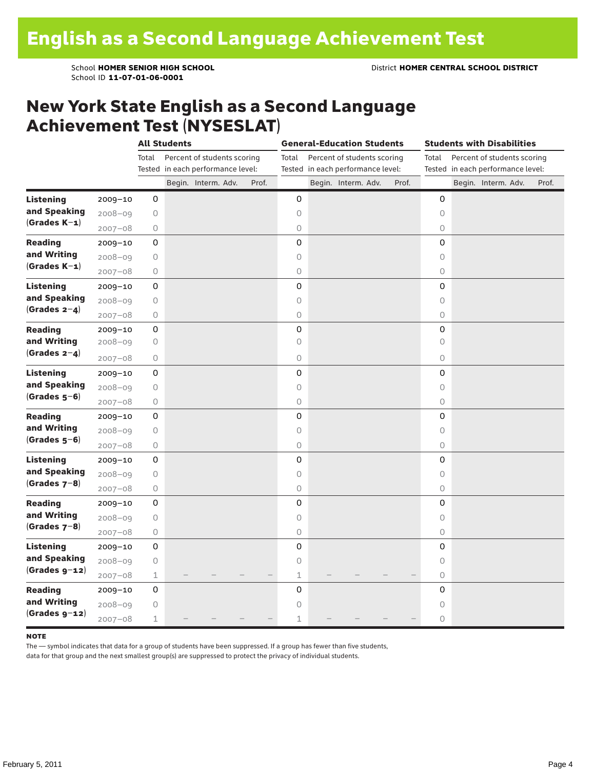#### New York State English as a Second Language Achievement Test (NYSESLAT)

|                  |             | <b>All Students</b> |  |                                   |  | <b>General-Education Students</b> |             |  |                                   |  | <b>Students with Disabilities</b> |                                   |  |                             |  |       |
|------------------|-------------|---------------------|--|-----------------------------------|--|-----------------------------------|-------------|--|-----------------------------------|--|-----------------------------------|-----------------------------------|--|-----------------------------|--|-------|
|                  |             | Total               |  | Percent of students scoring       |  |                                   | Total       |  | Percent of students scoring       |  |                                   | Total                             |  | Percent of students scoring |  |       |
|                  |             |                     |  | Tested in each performance level: |  |                                   |             |  | Tested in each performance level: |  |                                   | Tested in each performance level: |  |                             |  |       |
|                  |             |                     |  | Begin. Interm. Adv.               |  | Prof.                             |             |  | Begin. Interm. Adv.               |  | Prof.                             |                                   |  | Begin. Interm. Adv.         |  | Prof. |
| <b>Listening</b> | 2009-10     | 0                   |  |                                   |  |                                   | 0           |  |                                   |  |                                   | 0                                 |  |                             |  |       |
| and Speaking     | $2008 - 09$ | $\bigcirc$          |  |                                   |  |                                   | $\circ$     |  |                                   |  |                                   | $\circ$                           |  |                             |  |       |
| $(Grades K-1)$   | $2007 - 08$ | 0                   |  |                                   |  |                                   | $\bigcirc$  |  |                                   |  |                                   | $\circlearrowright$               |  |                             |  |       |
| <b>Reading</b>   | $2009 - 10$ | 0                   |  |                                   |  |                                   | 0           |  |                                   |  |                                   | 0                                 |  |                             |  |       |
| and Writing      | $2008 - 09$ | $\bigcirc$          |  |                                   |  |                                   | $\circ$     |  |                                   |  |                                   | $\circ$                           |  |                             |  |       |
| $(Grades K-1)$   | $2007 - 08$ | $\bigcirc$          |  |                                   |  |                                   | $\circ$     |  |                                   |  |                                   | $\circ$                           |  |                             |  |       |
| <b>Listening</b> | $2009 - 10$ | $\mathsf 0$         |  |                                   |  |                                   | 0           |  |                                   |  |                                   | $\mathbf 0$                       |  |                             |  |       |
| and Speaking     | $2008 - 09$ | 0                   |  |                                   |  |                                   | $\circ$     |  |                                   |  |                                   | $\circ$                           |  |                             |  |       |
| (Grades $2-4$ )  | $2007 - 08$ | 0                   |  |                                   |  |                                   | $\bigcirc$  |  |                                   |  |                                   | $\circ$                           |  |                             |  |       |
| <b>Reading</b>   | $2009 - 10$ | $\mathsf 0$         |  |                                   |  |                                   | 0           |  |                                   |  |                                   | 0                                 |  |                             |  |       |
| and Writing      | $2008 - 09$ | $\bigcirc$          |  |                                   |  |                                   | $\circ$     |  |                                   |  |                                   | $\circ$                           |  |                             |  |       |
| (Grades $2-4$ )  | $2007 - 08$ | 0                   |  |                                   |  |                                   | $\circ$     |  |                                   |  |                                   | $\circ$                           |  |                             |  |       |
| <b>Listening</b> | $2009 - 10$ | 0                   |  |                                   |  |                                   | 0           |  |                                   |  |                                   | 0                                 |  |                             |  |       |
| and Speaking     | $2008 - 09$ | $\bigcirc$          |  |                                   |  |                                   | $\circ$     |  |                                   |  |                                   | $\circ$                           |  |                             |  |       |
| $(Grades 5-6)$   | $2007 - 08$ | $\bigcirc$          |  |                                   |  |                                   | $\circ$     |  |                                   |  |                                   | $\circ$                           |  |                             |  |       |
| <b>Reading</b>   | $2009 - 10$ | $\mathsf 0$         |  |                                   |  |                                   | 0           |  |                                   |  |                                   | 0                                 |  |                             |  |       |
| and Writing      | $2008 - 09$ | 0                   |  |                                   |  |                                   | 0           |  |                                   |  |                                   | 0                                 |  |                             |  |       |
| $(Grades 5-6)$   | $2007 - 08$ | $\bigcirc$          |  |                                   |  |                                   | $\bigcirc$  |  |                                   |  |                                   | $\circ$                           |  |                             |  |       |
| <b>Listening</b> | 2009-10     | $\mathsf 0$         |  |                                   |  |                                   | 0           |  |                                   |  |                                   | 0                                 |  |                             |  |       |
| and Speaking     | $2008 - 09$ | $\bigcirc$          |  |                                   |  |                                   | $\circ$     |  |                                   |  |                                   | $\circ$                           |  |                             |  |       |
| $(Grades 7-8)$   | $2007 - 08$ | $\bigcirc$          |  |                                   |  |                                   | $\bigcirc$  |  |                                   |  |                                   | $\circlearrowright$               |  |                             |  |       |
| <b>Reading</b>   | $2009 - 10$ | 0                   |  |                                   |  |                                   | 0           |  |                                   |  |                                   | 0                                 |  |                             |  |       |
| and Writing      | 2008-09     | $\bigcirc$          |  |                                   |  |                                   | $\circ$     |  |                                   |  |                                   | $\circ$                           |  |                             |  |       |
| $(Grades 7-8)$   | $2007 - 08$ | $\bigcirc$          |  |                                   |  |                                   | $\circ$     |  |                                   |  |                                   | $\circ$                           |  |                             |  |       |
| <b>Listening</b> | $2009 - 10$ | $\mathsf 0$         |  |                                   |  |                                   | 0           |  |                                   |  |                                   | 0                                 |  |                             |  |       |
| and Speaking     | $2008 - 09$ | $\bigcirc$          |  |                                   |  |                                   | $\circ$     |  |                                   |  |                                   | 0                                 |  |                             |  |       |
| $(Grades g-12)$  | $2007 - 08$ | $\mathbf 1$         |  |                                   |  |                                   | $\mathbf 1$ |  |                                   |  |                                   | $\circ$                           |  |                             |  |       |
| <b>Reading</b>   | $2009 - 10$ | 0                   |  |                                   |  |                                   | 0           |  |                                   |  |                                   | 0                                 |  |                             |  |       |
| and Writing      | $2008 - 09$ | $\bigcirc$          |  |                                   |  |                                   | $\circ$     |  |                                   |  |                                   | $\circ$                           |  |                             |  |       |
| $(Grades g-12)$  | $2007 - 08$ | 1                   |  |                                   |  |                                   | $\mathbf 1$ |  |                                   |  |                                   | $\circ$                           |  |                             |  |       |

#### **NOTE**

The — symbol indicates that data for a group of students have been suppressed. If a group has fewer than five students,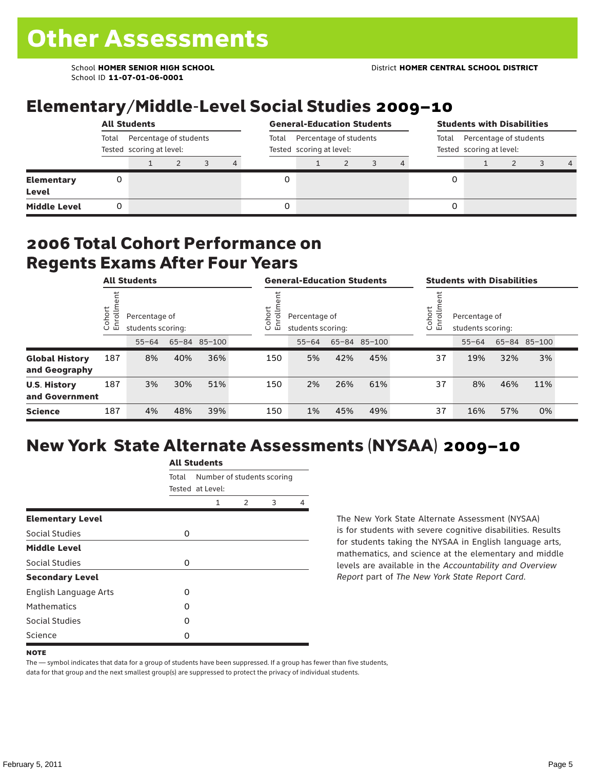School ID **11-07-01-06-0001**

## Elementary/Middle-Level Social Studies 2009–10

|                            | <b>All Students</b>                                         |  |  |  |                                                             | <b>General-Education Students</b> |  |  |  |                                                             | <b>Students with Disabilities</b> |  |  |  |                |
|----------------------------|-------------------------------------------------------------|--|--|--|-------------------------------------------------------------|-----------------------------------|--|--|--|-------------------------------------------------------------|-----------------------------------|--|--|--|----------------|
|                            | Percentage of students<br>Total<br>Tested scoring at level: |  |  |  | Percentage of students<br>Total<br>Tested scoring at level: |                                   |  |  |  | Percentage of students<br>Total<br>Tested scoring at level: |                                   |  |  |  |                |
|                            |                                                             |  |  |  | 4                                                           |                                   |  |  |  |                                                             |                                   |  |  |  | $\overline{a}$ |
| <b>Elementary</b><br>Level | 0                                                           |  |  |  |                                                             |                                   |  |  |  |                                                             | 0                                 |  |  |  |                |
| <b>Middle Level</b>        | 0                                                           |  |  |  |                                                             |                                   |  |  |  |                                                             | 0                                 |  |  |  |                |

#### 2006 Total Cohort Performance on Regents Exams After Four Years

|                                        | <b>All Students</b>     |           |                                    |              |  | <b>General-Education Students</b> |                                                              |     |              |  | <b>Students with Disabilities</b> |                                                        |     |              |  |  |
|----------------------------------------|-------------------------|-----------|------------------------------------|--------------|--|-----------------------------------|--------------------------------------------------------------|-----|--------------|--|-----------------------------------|--------------------------------------------------------|-----|--------------|--|--|
|                                        | Cohort<br>$\circ$<br>「四 |           | Percentage of<br>students scoring: |              |  |                                   | Cohort<br>≣<br>Percentage of<br>ò,<br>모<br>students scoring: |     |              |  |                                   | Cohort<br>Percentage of<br>S<br>문<br>students scoring: |     |              |  |  |
|                                        |                         | $55 - 64$ |                                    | 65-84 85-100 |  |                                   | $55 - 64$                                                    |     | 65-84 85-100 |  |                                   | $55 - 64$                                              |     | 65-84 85-100 |  |  |
| <b>Global History</b><br>and Geography | 187                     | 8%        | 40%                                | 36%          |  | 150                               | 5%                                                           | 42% | 45%          |  | 37                                | 19%                                                    | 32% | 3%           |  |  |
| <b>U.S. History</b><br>and Government  | 187                     | 3%        | 30%                                | 51%          |  | 150                               | 2%                                                           | 26% | 61%          |  | 37                                | 8%                                                     | 46% | 11%          |  |  |
| <b>Science</b>                         | 187                     | 4%        | 48%                                | 39%          |  | 150                               | 1%                                                           | 45% | 49%          |  | 37                                | 16%                                                    | 57% | 0%           |  |  |

## New York State Alternate Assessments (NYSAA) 2009–10

|                              | <b>All Students</b> |                  |               |                            |   |  |  |  |  |  |
|------------------------------|---------------------|------------------|---------------|----------------------------|---|--|--|--|--|--|
|                              | Total               | Tested at Level: |               | Number of students scoring |   |  |  |  |  |  |
|                              |                     | 1                | $\mathcal{P}$ | 3                          | 4 |  |  |  |  |  |
| <b>Elementary Level</b>      |                     |                  |               |                            |   |  |  |  |  |  |
| Social Studies               | 0                   |                  |               |                            |   |  |  |  |  |  |
| <b>Middle Level</b>          |                     |                  |               |                            |   |  |  |  |  |  |
| Social Studies               | 0                   |                  |               |                            |   |  |  |  |  |  |
| <b>Secondary Level</b>       |                     |                  |               |                            |   |  |  |  |  |  |
| <b>English Language Arts</b> | O                   |                  |               |                            |   |  |  |  |  |  |
| <b>Mathematics</b>           | Ω                   |                  |               |                            |   |  |  |  |  |  |
| Social Studies               | O                   |                  |               |                            |   |  |  |  |  |  |
| Science                      | Ω                   |                  |               |                            |   |  |  |  |  |  |

The New York State Alternate Assessment (NYSAA) is for students with severe cognitive disabilities. Results for students taking the NYSAA in English language arts, mathematics, and science at the elementary and middle levels are available in the *Accountability and Overview Report* part of *The New York State Report Card*.

The — symbol indicates that data for a group of students have been suppressed. If a group has fewer than five students, data for that group and the next smallest group(s) are suppressed to protect the privacy of individual students.

**NOTE**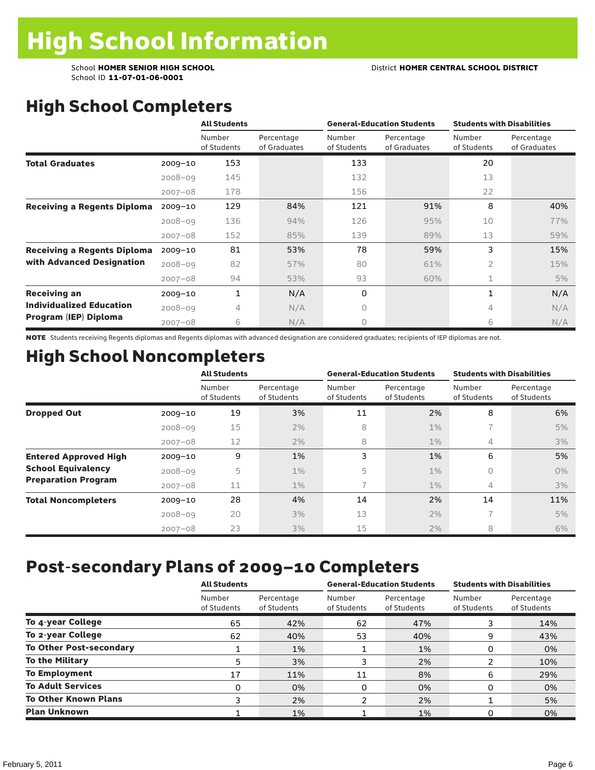School ID **11-07-01-06-0001**

## High School Completers

|                                    |             | <b>All Students</b>   |                            | <b>General-Education Students</b> |                            | <b>Students with Disabilities</b> |                            |  |
|------------------------------------|-------------|-----------------------|----------------------------|-----------------------------------|----------------------------|-----------------------------------|----------------------------|--|
|                                    |             | Number<br>of Students | Percentage<br>of Graduates | Number<br>of Students             | Percentage<br>of Graduates | Number<br>of Students             | Percentage<br>of Graduates |  |
| <b>Total Graduates</b>             | $2009 - 10$ | 153                   |                            | 133                               |                            | 20                                |                            |  |
|                                    | $2008 - 09$ | 145                   |                            | 132                               |                            | 13                                |                            |  |
|                                    | $2007 - 08$ | 178                   |                            | 156                               |                            | 22                                |                            |  |
| <b>Receiving a Regents Diploma</b> | $2009 - 10$ | 129                   | 84%                        | 121                               | 91%                        | 8                                 | 40%                        |  |
|                                    | $2008 - 09$ | 136                   | 94%                        | 126                               | 95%                        | 10                                | 77%                        |  |
|                                    | $2007 - 08$ | 152                   | 85%                        | 139                               | 89%                        | 13                                | 59%                        |  |
| <b>Receiving a Regents Diploma</b> | $2009 - 10$ | 81                    | 53%                        | 78                                | 59%                        | 3                                 | 15%                        |  |
| with Advanced Designation          | $2008 - 09$ | 82                    | 57%                        | 80                                | 61%                        | $\overline{2}$                    | 15%                        |  |
|                                    | $2007 - 08$ | 94                    | 53%                        | 93                                | 60%                        | 1                                 | 5%                         |  |
| <b>Receiving an</b>                | $2009 - 10$ | 1                     | N/A                        | 0                                 |                            | 1                                 | N/A                        |  |
| <b>Individualized Education</b>    | $2008 - 09$ | 4                     | N/A                        | $\Omega$                          |                            | 4                                 | N/A                        |  |
| Program (IEP) Diploma              | $2007 - 08$ | 6                     | N/A                        | $\circ$                           |                            | 6                                 | N/A                        |  |

NOTE Students receiving Regents diplomas and Regents diplomas with advanced designation are considered graduates; recipients of IEP diplomas are not.

#### High School Noncompleters

|                              |             | <b>All Students</b>   |                           |                       | <b>General-Education Students</b> | <b>Students with Disabilities</b> |                           |  |  |
|------------------------------|-------------|-----------------------|---------------------------|-----------------------|-----------------------------------|-----------------------------------|---------------------------|--|--|
|                              |             | Number<br>of Students | Percentage<br>of Students | Number<br>of Students | Percentage<br>of Students         | Number<br>of Students             | Percentage<br>of Students |  |  |
| <b>Dropped Out</b>           | $2009 - 10$ | 19                    | 3%                        | 11                    | 2%                                | 8                                 | 6%                        |  |  |
|                              | $2008 - 09$ | 15                    | 2%                        | 8                     | $1\%$                             | $\overline{\phantom{1}}$          | 5%                        |  |  |
|                              | $2007 - 08$ | 12                    | 2%                        | 8                     | $1\%$                             | 4                                 | 3%                        |  |  |
| <b>Entered Approved High</b> | $2009 - 10$ | 9                     | 1%                        | 3                     | 1%                                | 6                                 | 5%                        |  |  |
| <b>School Equivalency</b>    | $2008 - 09$ | 5                     | $1\%$                     | 5                     | $1\%$                             | 0                                 | $0\%$                     |  |  |
| <b>Preparation Program</b>   | $2007 - 08$ | 11                    | $1\%$                     |                       | $1\%$                             | 4                                 | 3%                        |  |  |
| <b>Total Noncompleters</b>   | $2009 - 10$ | 28                    | 4%                        | 14                    | 2%                                | 14                                | 11%                       |  |  |
|                              | $2008 - 09$ | 20                    | 3%                        | 13                    | 2%                                | $\overline{\phantom{a}}$          | 5%                        |  |  |
|                              | $2007 - 08$ | 23                    | 3%                        | 15                    | 2%                                | 8                                 | 6%                        |  |  |

#### Post-secondary Plans of 2009–10 Completers

|                                | <b>All Students</b>   |                           |                       | <b>General-Education Students</b> | <b>Students with Disabilities</b> |                           |  |
|--------------------------------|-----------------------|---------------------------|-----------------------|-----------------------------------|-----------------------------------|---------------------------|--|
|                                | Number<br>of Students | Percentage<br>of Students | Number<br>of Students | Percentage<br>of Students         | Number<br>of Students             | Percentage<br>of Students |  |
| To 4-year College              | 65                    | 42%                       | 62                    | 47%                               |                                   | 14%                       |  |
| To 2-year College              | 62                    | 40%                       | 53                    | 40%                               | 9                                 | 43%                       |  |
| <b>To Other Post-secondary</b> |                       | 1%                        |                       | 1%                                | 0                                 | 0%                        |  |
| <b>To the Military</b>         | 5                     | 3%                        |                       | 2%                                | ຳ                                 | 10%                       |  |
| <b>To Employment</b>           | 17                    | 11%                       | 11                    | 8%                                | 6                                 | 29%                       |  |
| <b>To Adult Services</b>       | 0                     | 0%                        | 0                     | 0%                                | 0                                 | 0%                        |  |
| <b>To Other Known Plans</b>    | 3                     | 2%                        | 2                     | 2%                                |                                   | 5%                        |  |
| <b>Plan Unknown</b>            |                       | 1%                        |                       | 1%                                |                                   | 0%                        |  |